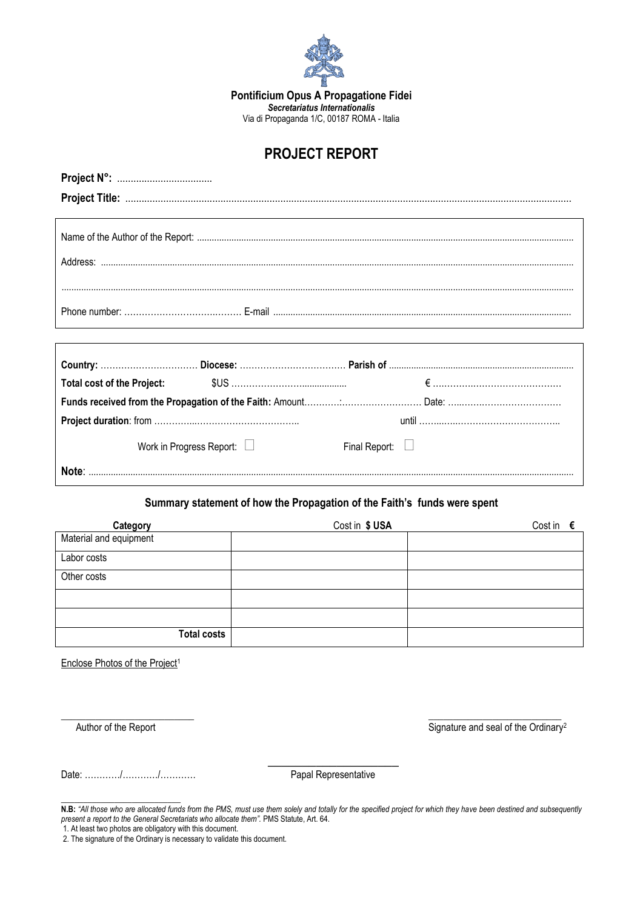

**Pontificium Opus A Propagatione Fidei** *Secretariatus Internationalis* Via di Propaganda 1/C, 00187 ROMA - Italia

## **PROJECT REPORT**

| Work in Progress Report: $\Box$ | Final Report: $\Box$ |  |
|---------------------------------|----------------------|--|
|                                 |                      |  |
| Note:                           |                      |  |
|                                 |                      |  |

## **Summary statement of how the Propagation of the Faith's funds were spent**

| Category               | Cost in \$USA | Cost in $\epsilon$ |
|------------------------|---------------|--------------------|
| Material and equipment |               |                    |
| Labor costs            |               |                    |
| Other costs            |               |                    |
|                        |               |                    |
|                        |               |                    |
| <b>Total costs</b>     |               |                    |

Enclose Photos of the Project<sup>1</sup>

**Project NO:** 

Author of the Report **Signature and seal of the Ordinary<sup>2</sup>** 

Date: …………/…………/………… Papal Representative

\_\_\_\_\_\_\_\_\_\_\_\_\_\_\_\_\_\_\_\_\_\_\_\_\_\_\_

 $\overline{\phantom{a}}$  , where  $\overline{\phantom{a}}$ 

\_\_\_\_\_\_\_\_\_\_\_\_\_\_\_\_\_\_\_\_\_\_\_\_\_\_\_ \_\_\_\_\_\_\_\_\_\_\_\_\_\_\_\_\_\_\_\_\_\_\_\_\_\_\_

**N.B:** *"All those who are allocated funds from the PMS, must use them solely and totally for the specified project for which they have been destined and subsequently present a report to the General Secretariats who allocate them".* PMS Statute, Art. 64.

<sup>1.</sup> At least two photos are obligatory with this document.

<sup>2.</sup> The signature of the Ordinary is necessary to validate this document.